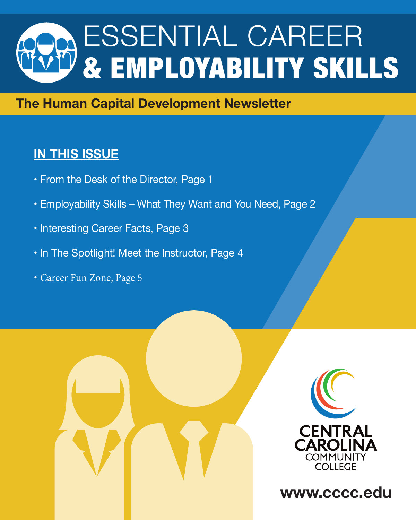# ESSENTIAL CAREER & EMPLOYABILITY SKILLS

#### **The Human Capital Development Newsletter**

### **IN THIS ISSUE**

- From the Desk of the Director, Page 1
- Employability Skills What They Want and You Need, Page 2
- Interesting Career Facts, Page 3
- In The Spotlight! Meet the Instructor, Page 4
- Career Fun Zone, Page 5





**www.cccc.edu**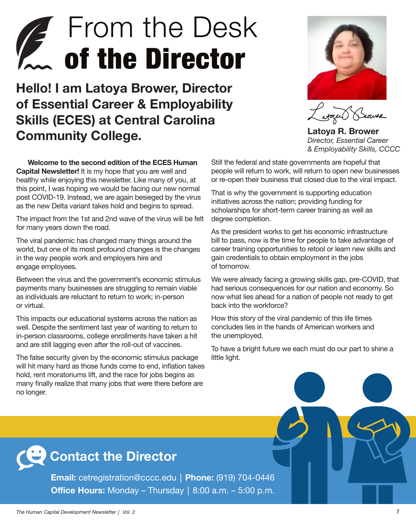## **From the Desk** *T* of the Director

**Hello! I am Latoya Brower, Director of Essential Career & Employability Skills (ECES) at Central Carolina Community College.** 



**Latoya R. Brower** *Director, Essential Career & Employability Skills, CCCC*

**Welcome to the second edition of the ECES Human Capital Newsletter!** It is my hope that you are well and healthy while enjoying this newsletter. Like many of you, at this point, I was hoping we would be facing our new normal post COVID-19. Instead, we are again besieged by the virus as the new Delta variant takes hold and begins to spread.

The impact from the 1st and 2nd wave of the virus will be felt for many years down the road.

The viral pandemic has changed many things around the world, but one of its most profound changes is the changes in the way people work and employers hire and engage employees.

Between the virus and the government's economic stimulus payments many businesses are struggling to remain viable as individuals are reluctant to return to work; in-person or virtual.

This impacts our educational systems across the nation as well. Despite the sentiment last year of wanting to return to in-person classrooms, college enrollments have taken a hit and are still lagging even after the roll-out of vaccines.

The false security given by the economic stimulus package will hit many hard as those funds come to end, inflation takes hold, rent moratoriums lift, and the race for jobs begins as many finally realize that many jobs that were there before are no longer.

Still the federal and state governments are hopeful that people will return to work, will return to open new businesses or re-open their business that closed due to the viral impact.

That is why the government is supporting education initiatives across the nation; providing funding for scholarships for short-term career training as well as degree completion.

As the president works to get his economic infrastructure bill to pass, now is the time for people to take advantage of career training opportunities to retool or learn new skills and gain credentials to obtain employment in the jobs of tomorrow.

We were already facing a growing skills gap, pre-COVID, that had serious consequences for our nation and economy. So now what lies ahead for a nation of people not ready to get back into the workforce?

How this story of the viral pandemic of this life times concludes lies in the hands of American workers and the unemployed.

To have a bright future we each must do our part to shine a little light.

## **Contact the Director**

**Email:** cetregistration@cccc.edu│**Phone:** (919) 704-0446 **Office Hours:** Monday – Thursday│8:00 a.m. – 5:00 p.m.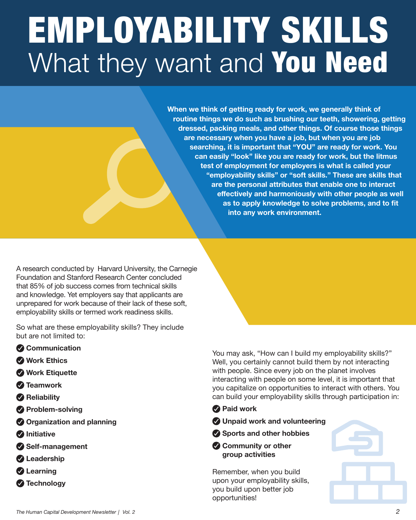# EMPLOYABILITY SKILLS What they want and You Need

**When we think of getting ready for work, we generally think of routine things we do such as brushing our teeth, showering, getting dressed, packing meals, and other things. Of course those things are necessary when you have a job, but when you are job searching, it is important that "YOU" are ready for work. You can easily "look" like you are ready for work, but the litmus test of employment for employers is what is called your "employability skills" or "soft skills." These are skills that are the personal attributes that enable one to interact effectively and harmoniously with other people as well as to apply knowledge to solve problems, and to fit into any work environment.**

A research conducted by Harvard University, the Carnegie Foundation and Stanford Research Center concluded that 85% of job success comes from technical skills and knowledge. Yet employers say that applicants are unprepared for work because of their lack of these soft, employability skills or termed work readiness skills.

So what are these employability skills? They include but are not limited to:

- **Communication**
- **Work Ethics**
- **Work Etiquette**
- **Teamwork**
- **Reliability**
- **Problem-solving**
- **Organization and planning**
- *<u>Alnitiative</u>*
- **Self-management**
- **Leadership**
- **Learning**
- **Technology**

You may ask, "How can I build my employability skills?" Well, you certainly cannot build them by not interacting with people. Since every job on the planet involves interacting with people on some level, it is important that you capitalize on opportunities to interact with others. You can build your employability skills through participation in:

#### **Paid work**

- **Unpaid work and volunteering**
- **Sports and other hobbies**
- **Community or other group activities**

Remember, when you build upon your employability skills, you build upon better job opportunities!

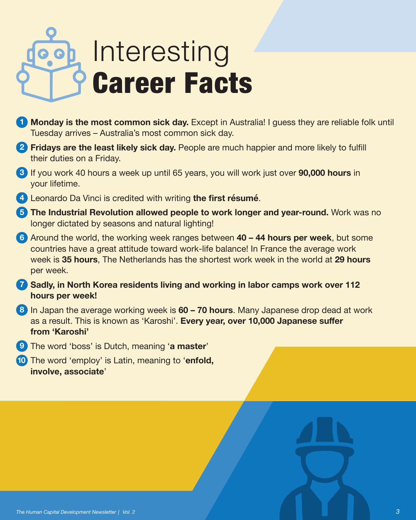# Interesting Career Facts

- **1 Monday is the most common sick day.** Except in Australia! I guess they are reliable folk until Tuesday arrives – Australia's most common sick day.
- **2 Fridays are the least likely sick day.** People are much happier and more likely to fulfill their duties on a Friday.
- **3** If you work 40 hours a week up until 65 years, you will work just over **90,000 hours** in your lifetime.
- **4** Leonardo Da Vinci is credited with writing **the first résumé**.
- **5 The Industrial Revolution allowed people to work longer and year-round.** Work was no longer dictated by seasons and natural lighting!
- **6** Around the world, the working week ranges between **40 44 hours per week**, but some countries have a great attitude toward work-life balance! In France the average work week is **35 hours**, The Netherlands has the shortest work week in the world at **29 hours** per week.
- **7 Sadly, in North Korea residents living and working in labor camps work over 112 hours per week!**
- **8** In Japan the average working week is **60 70 hours**. Many Japanese drop dead at work as a result. This is known as 'Karoshi'. **Every year, over 10,000 Japanese suffer from 'Karoshi'**
- **9** The word 'boss' is Dutch, meaning '**a master**'
- **10** The word 'employ' is Latin, meaning to '**enfold, involve, associate**'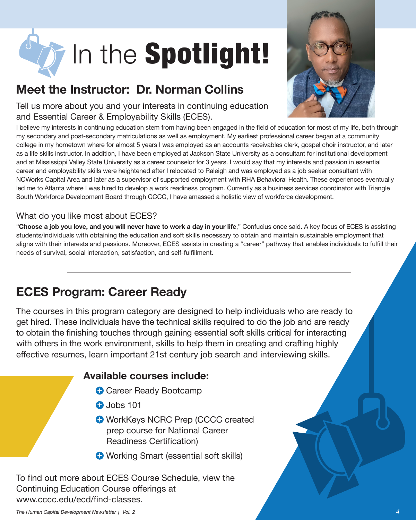

#### **Meet the Instructor: Dr. Norman Collins**

Tell us more about you and your interests in continuing education and Essential Career & Employability Skills (ECES).



I believe my interests in continuing education stem from having been engaged in the field of education for most of my life, both through my secondary and post-secondary matriculations as well as employment. My earliest professional career began at a community college in my hometown where for almost 5 years I was employed as an accounts receivables clerk, gospel choir instructor, and later as a life skills instructor. In addition, I have been employed at Jackson State University as a consultant for institutional development and at Mississippi Valley State University as a career counselor for 3 years. I would say that my interests and passion in essential career and employability skills were heightened after I relocated to Raleigh and was employed as a job seeker consultant with NCWorks Capital Area and later as a supervisor of supported employment with RHA Behavioral Health. These experiences eventually led me to Atlanta where I was hired to develop a work readiness program. Currently as a business services coordinator with Triangle South Workforce Development Board through CCCC, I have amassed a holistic view of workforce development.

#### What do you like most about ECES?

"**Choose a job you love, and you will never have to work a day in your life**," Confucius once said. A key focus of ECES is assisting students/individuals with obtaining the education and soft skills necessary to obtain and maintain sustainable employment that aligns with their interests and passions. Moreover, ECES assists in creating a "career" pathway that enables individuals to fulfill their needs of survival, social interaction, satisfaction, and self-fulfillment.

#### **ECES Program: Career Ready**

The courses in this program category are designed to help individuals who are ready to get hired. These individuals have the technical skills required to do the job and are ready to obtain the finishing touches through gaining essential soft skills critical for interacting with others in the work environment, skills to help them in creating and crafting highly effective resumes, learn important 21st century job search and interviewing skills.

#### **Available courses include:**

- **+** Career Ready Bootcamp
- **+** Jobs 101
- **+** WorkKeys NCRC Prep (CCCC created prep course for National Career Readiness Certification)
- **+** Working Smart (essential soft skills)

To find out more about ECES Course Schedule, view the Continuing Education Course offerings at www.cccc.edu/ecd/find-classes.